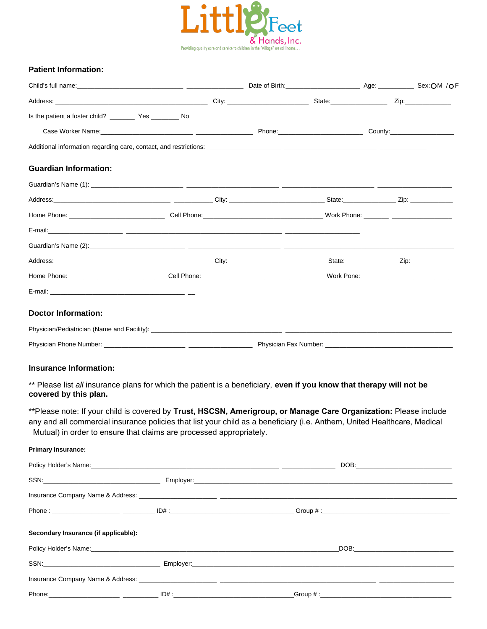

### **Patient Information:**

| Child's full name: Sex: OM / OF                                                                                                                                                                 |  |  |  |  |  |
|-------------------------------------------------------------------------------------------------------------------------------------------------------------------------------------------------|--|--|--|--|--|
|                                                                                                                                                                                                 |  |  |  |  |  |
|                                                                                                                                                                                                 |  |  |  |  |  |
|                                                                                                                                                                                                 |  |  |  |  |  |
|                                                                                                                                                                                                 |  |  |  |  |  |
| <b>Guardian Information:</b>                                                                                                                                                                    |  |  |  |  |  |
|                                                                                                                                                                                                 |  |  |  |  |  |
|                                                                                                                                                                                                 |  |  |  |  |  |
|                                                                                                                                                                                                 |  |  |  |  |  |
|                                                                                                                                                                                                 |  |  |  |  |  |
|                                                                                                                                                                                                 |  |  |  |  |  |
|                                                                                                                                                                                                 |  |  |  |  |  |
|                                                                                                                                                                                                 |  |  |  |  |  |
|                                                                                                                                                                                                 |  |  |  |  |  |
| <b>Doctor Information:</b>                                                                                                                                                                      |  |  |  |  |  |
|                                                                                                                                                                                                 |  |  |  |  |  |
|                                                                                                                                                                                                 |  |  |  |  |  |
|                                                                                                                                                                                                 |  |  |  |  |  |
| <b>Insurance Information:</b>                                                                                                                                                                   |  |  |  |  |  |
| ** Please list all insurance plans for which the patient is a beneficiary, even if you know that therapy will not be<br>covered by this plan.                                                   |  |  |  |  |  |
| **Please note: If your child is covered by Trust, HSCSN, Amerigroup, or Manage Care Organization: Please include                                                                                |  |  |  |  |  |
| any and all commercial insurance policies that list your child as a beneficiary (i.e. Anthem, United Healthcare, Medical<br>Mutual) in order to ensure that claims are processed appropriately. |  |  |  |  |  |
| <b>Primary Insurance:</b>                                                                                                                                                                       |  |  |  |  |  |
|                                                                                                                                                                                                 |  |  |  |  |  |
|                                                                                                                                                                                                 |  |  |  |  |  |
|                                                                                                                                                                                                 |  |  |  |  |  |
|                                                                                                                                                                                                 |  |  |  |  |  |
| Secondary Insurance (if applicable):                                                                                                                                                            |  |  |  |  |  |
| Policy Holder's Name: www.communication.com/www.communication.com/www.communication.com/www.com/www.                                                                                            |  |  |  |  |  |
|                                                                                                                                                                                                 |  |  |  |  |  |
|                                                                                                                                                                                                 |  |  |  |  |  |

 $\Box$ Group # : $\Box$ 

Phone:

 $\frac{1}{2}$   $\frac{1}{2}$   $\frac{1}{2}$   $\frac{1}{2}$   $\frac{1}{2}$   $\frac{1}{2}$   $\frac{1}{2}$   $\frac{1}{2}$   $\frac{1}{2}$   $\frac{1}{2}$   $\frac{1}{2}$   $\frac{1}{2}$   $\frac{1}{2}$   $\frac{1}{2}$   $\frac{1}{2}$   $\frac{1}{2}$   $\frac{1}{2}$   $\frac{1}{2}$   $\frac{1}{2}$   $\frac{1}{2}$   $\frac{1}{2}$   $\frac{1}{2}$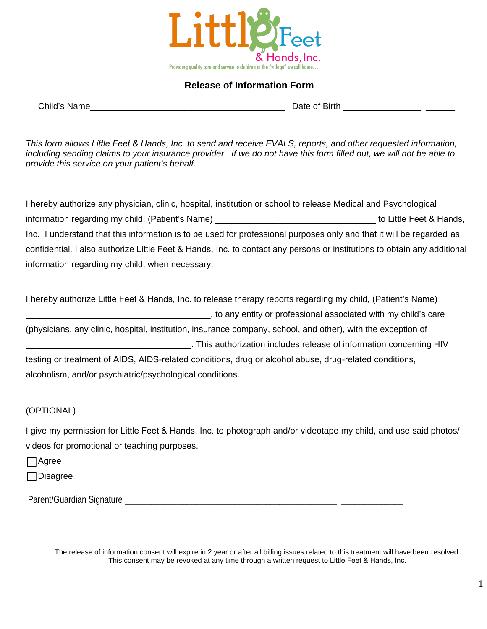

# **Release of Information Form**

Child's Name **Child's Name** 

*This form allows Little Feet & Hands, Inc. to send and receive EVALS, reports, and other requested information, including sending claims to your insurance provider. If we do not have this form filled out, we will not be able to provide this service on your patient's behalf.*

I hereby authorize any physician, clinic, hospital, institution or school to release Medical and Psychological information regarding my child, (Patient's Name) \_\_\_\_\_\_\_\_\_\_\_\_\_\_\_\_\_\_\_\_\_\_\_\_\_\_\_\_\_\_\_\_\_ to Little Feet & Hands, Inc. I understand that this information is to be used for professional purposes only and that it will be regarded as confidential. I also authorize Little Feet & Hands, Inc. to contact any persons or institutions to obtain any additional information regarding my child, when necessary.

I hereby authorize Little Feet & Hands, Inc. to release therapy reports regarding my child, (Patient's Name) \_\_\_\_\_\_\_\_\_\_\_\_\_\_\_\_\_\_\_\_\_\_\_\_\_\_\_\_\_\_\_\_\_\_\_\_\_\_, to any entity or professional associated with my child's care (physicians, any clinic, hospital, institution, insurance company, school, and other), with the exception of \_\_\_\_\_\_\_\_\_\_\_\_\_\_\_\_\_\_\_\_\_\_\_\_\_\_\_\_\_\_\_\_\_\_. This authorization includes release of information concerning HIV testing or treatment of AIDS, AIDS-related conditions, drug or alcohol abuse, drug-related conditions, alcoholism, and/or psychiatric/psychological conditions.

### (OPTIONAL)

I give my permission for Little Feet & Hands, Inc. to photograph and/or videotape my child, and use said photos/ videos for promotional or teaching purposes.

Agree

□ Disagree

Parent/Guardian Signature Later and the set of the set of the set of the set of the set of the set of the set o

The release of information consent will expire in 2 year or after all billing issues related to this treatment will have been resolved. This consent may be revoked at any time through a written request to Little Feet & Hands, Inc.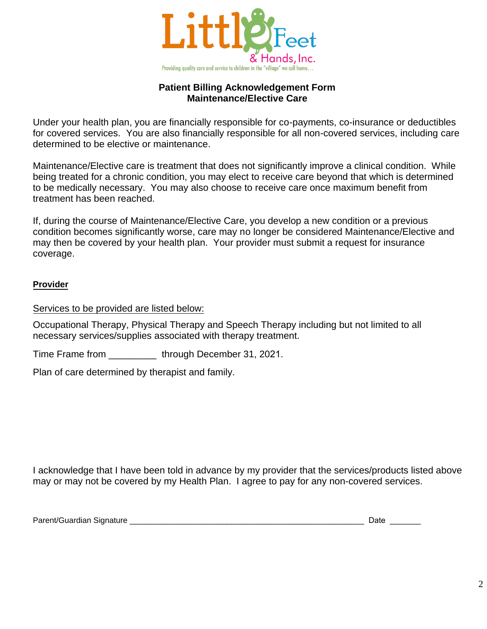

## **Patient Billing Acknowledgement Form Maintenance/Elective Care**

Under your health plan, you are financially responsible for co-payments, co-insurance or deductibles for covered services. You are also financially responsible for all non-covered services, including care determined to be elective or maintenance.

Maintenance/Elective care is treatment that does not significantly improve a clinical condition. While being treated for a chronic condition, you may elect to receive care beyond that which is determined to be medically necessary. You may also choose to receive care once maximum benefit from treatment has been reached.

If, during the course of Maintenance/Elective Care, you develop a new condition or a previous condition becomes significantly worse, care may no longer be considered Maintenance/Elective and may then be covered by your health plan. Your provider must submit a request for insurance coverage.

## **Provider**

Services to be provided are listed below:

Occupational Therapy, Physical Therapy and Speech Therapy including but not limited to all necessary services/supplies associated with therapy treatment.

Time Frame from \_\_\_\_\_\_\_\_\_ through December 31, 2021.

Plan of care determined by therapist and family.

I acknowledge that I have been told in advance by my provider that the services/products listed above may or may not be covered by my Health Plan. I agree to pay for any non-covered services.

Parent/Guardian Signature \_\_\_\_\_\_\_\_\_\_\_\_\_\_\_\_\_\_\_\_\_\_\_\_\_\_\_\_\_\_\_\_\_\_\_\_\_\_\_\_\_\_\_\_\_\_\_\_\_\_\_\_\_ Date \_\_\_\_\_\_\_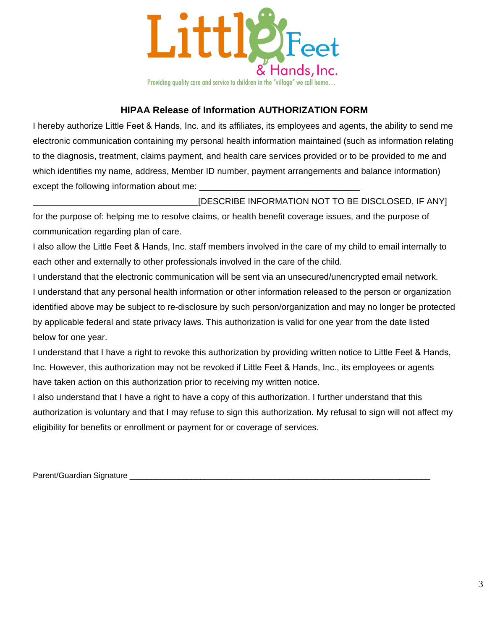

# **HIPAA Release of Information AUTHORIZATION FORM**

I hereby authorize Little Feet & Hands, Inc. and its affiliates, its employees and agents, the ability to send me electronic communication containing my personal health information maintained (such as information relating to the diagnosis, treatment, claims payment, and health care services provided or to be provided to me and which identifies my name, address, Member ID number, payment arrangements and balance information) except the following information about me:

[DESCRIBE INFORMATION NOT TO BE DISCLOSED, IF ANY]

for the purpose of: helping me to resolve claims, or health benefit coverage issues, and the purpose of communication regarding plan of care.

I also allow the Little Feet & Hands, Inc. staff members involved in the care of my child to email internally to each other and externally to other professionals involved in the care of the child.

I understand that the electronic communication will be sent via an unsecured/unencrypted email network. I understand that any personal health information or other information released to the person or organization identified above may be subject to re-disclosure by such person/organization and may no longer be protected by applicable federal and state privacy laws. This authorization is valid for one year from the date listed below for one year.

I understand that I have a right to revoke this authorization by providing written notice to Little Feet & Hands, Inc. However, this authorization may not be revoked if Little Feet & Hands, Inc., its employees or agents have taken action on this authorization prior to receiving my written notice.

I also understand that I have a right to have a copy of this authorization. I further understand that this authorization is voluntary and that I may refuse to sign this authorization. My refusal to sign will not affect my eligibility for benefits or enrollment or payment for or coverage of services.

Parent/Guardian Signature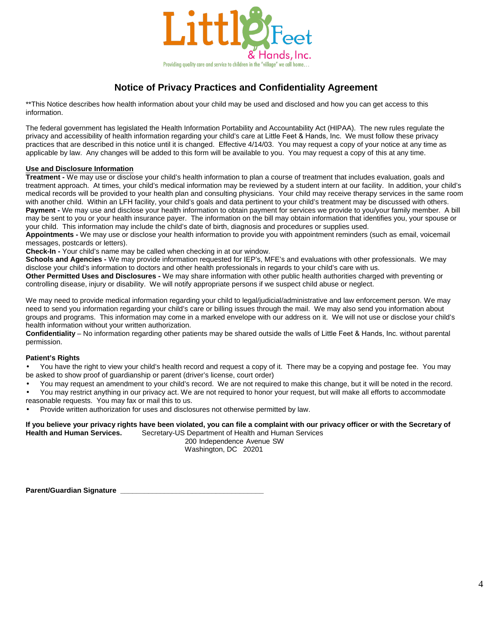

# **Notice of Privacy Practices and Confidentiality Agreement**

\*\*This Notice describes how health information about your child may be used and disclosed and how you can get access to this information.

The federal government has legislated the Health Information Portability and Accountability Act (HIPAA). The new rules regulate the privacy and accessibility of health information regarding your child's care at Little Feet & Hands, Inc. We must follow these privacy practices that are described in this notice until it is changed. Effective 4/14/03. You may request a copy of your notice at any time as applicable by law. Any changes will be added to this form will be available to you. You may request a copy of this at any time.

#### **Use and Disclosure Information**

**Treatment -** We may use or disclose your child's health information to plan a course of treatment that includes evaluation, goals and treatment approach. At times, your child's medical information may be reviewed by a student intern at our facility. In addition, your child's medical records will be provided to your health plan and consulting physicians. Your child may receive therapy services in the same room with another child. Within an LFH facility, your child's goals and data pertinent to your child's treatment may be discussed with others. Payment - We may use and disclose your health information to obtain payment for services we provide to you/your family member. A bill may be sent to you or your health insurance payer. The information on the bill may obtain information that identifies you, your spouse or your child. This information may include the child's date of birth, diagnosis and procedures or supplies used.

**Appointments -** We may use or disclose your health information to provide you with appointment reminders (such as email, voicemail messages, postcards or letters).

**Check-In -** Your child's name may be called when checking in at our window.

**Schools and Agencies -** We may provide information requested for IEP's, MFE's and evaluations with other professionals. We may disclose your child's information to doctors and other health professionals in regards to your child's care with us.

**Other Permitted Uses and Disclosures -** We may share information with other public health authorities charged with preventing or controlling disease, injury or disability. We will notify appropriate persons if we suspect child abuse or neglect.

We may need to provide medical information regarding your child to legal/judicial/administrative and law enforcement person. We may need to send you information regarding your child's care or billing issues through the mail. We may also send you information about groups and programs. This information may come in a marked envelope with our address on it. We will not use or disclose your child's health information without your written authorization.

**Confidentiality** – No information regarding other patients may be shared outside the walls of Little Feet & Hands, Inc. without parental permission.

#### **Patient's Rights**

• You have the right to view your child's health record and request a copy of it. There may be a copying and postage fee. You may be asked to show proof of guardianship or parent (driver's license, court order)

- You may request an amendment to your child's record. We are not required to make this change, but it will be noted in the record.
- You may restrict anything in our privacy act. We are not required to honor your request, but will make all efforts to accommodate reasonable requests. You may fax or mail this to us.
- Provide written authorization for uses and disclosures not otherwise permitted by law.

#### **If you believe your privacy rights have been violated, you can file a complaint with our privacy officer or with the Secretary of** Secretary-US Department of Health and Human Services

200 Independence Avenue SW Washington, DC 20201

**Parent/Guardian Signature \_\_\_\_\_\_\_\_\_\_\_\_\_\_\_\_\_\_\_\_\_\_\_\_\_\_\_\_\_\_\_\_\_\_\_\_**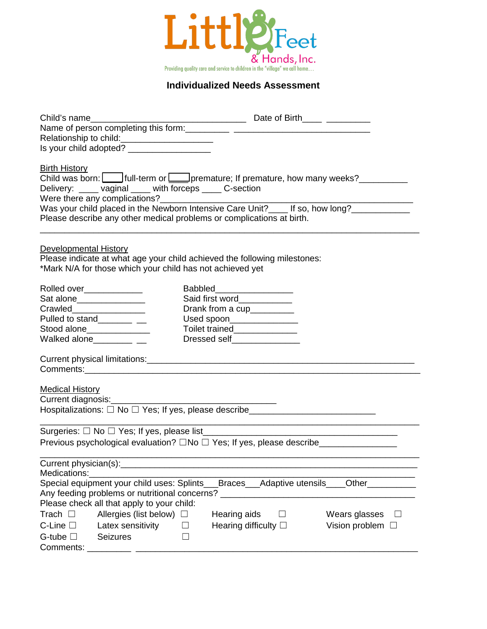

## **Individualized Needs Assessment**

| Relationship to child:<br><u>_______________________________</u>                 |                                                                                          |
|----------------------------------------------------------------------------------|------------------------------------------------------------------------------------------|
|                                                                                  |                                                                                          |
|                                                                                  |                                                                                          |
| <b>Birth History</b>                                                             |                                                                                          |
|                                                                                  | Child was born:   full-term or   premature; If premature, how many weeks?                |
| Delivery: ____ vaginal ____ with forceps ____ C-section                          |                                                                                          |
|                                                                                  |                                                                                          |
|                                                                                  | Was your child placed in the Newborn Intensive Care Unit?____ If so, how long?__________ |
| Please describe any other medical problems or complications at birth.            |                                                                                          |
|                                                                                  |                                                                                          |
| <b>Developmental History</b>                                                     |                                                                                          |
| Please indicate at what age your child achieved the following milestones:        |                                                                                          |
| *Mark N/A for those which your child has not achieved yet                        |                                                                                          |
| Rolled over_____________                                                         | Babbled_____________________                                                             |
| Sat alone________________                                                        | Said first word____________                                                              |
| Crawled________________                                                          | Drank from a cup________                                                                 |
| Pulled to stand____________                                                      | Used spoon________________                                                               |
| Stood alone______________                                                        | Toilet trained______________                                                             |
| Walked alone____________ __                                                      | Dressed self_______________                                                              |
|                                                                                  |                                                                                          |
|                                                                                  |                                                                                          |
|                                                                                  |                                                                                          |
|                                                                                  |                                                                                          |
| <b>Medical History</b>                                                           |                                                                                          |
| Current diagnosis:________                                                       |                                                                                          |
|                                                                                  | Hospitalizations: □ No □ Yes; If yes, please describe___________________________         |
|                                                                                  |                                                                                          |
|                                                                                  |                                                                                          |
|                                                                                  | Previous psychological evaluation? □No □ Yes; If yes, please describe ________________   |
| Current physician(s):                                                            |                                                                                          |
| Medications:                                                                     |                                                                                          |
|                                                                                  | Special equipment your child uses: Splints___Braces___Adaptive utensils____Other________ |
| Any feeding problems or nutritional concerns? __________________________________ |                                                                                          |
| Please check all that apply to your child:                                       |                                                                                          |
| Allergies (list below) $\Box$<br>Trach $\Box$                                    | Hearing aids<br>Wears glasses<br>ப<br>$\perp$                                            |
| C-Line $\square$<br>Latex sensitivity                                            | Hearing difficulty $\square$<br>Vision problem $\Box$                                    |
| G-tube $\square$<br><b>Seizures</b>                                              |                                                                                          |
| Comments: _                                                                      |                                                                                          |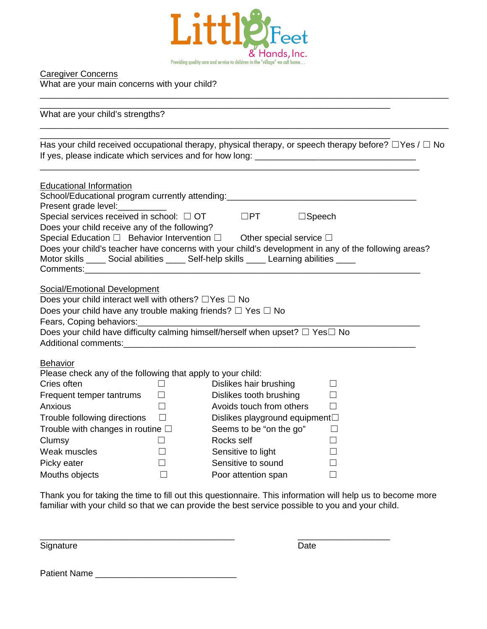

\_\_\_\_\_\_\_\_\_\_\_\_\_\_\_\_\_\_\_\_\_\_\_\_\_\_\_\_\_\_\_\_\_\_\_\_\_\_\_\_\_\_\_\_\_\_\_\_\_\_\_\_\_\_\_\_\_\_\_\_\_\_\_\_\_\_\_\_\_\_\_\_\_\_\_\_\_\_\_\_\_\_\_\_

Caregiver Concerns What are your main concerns with your child?

\_\_\_\_\_\_\_\_\_\_\_\_\_\_\_\_\_\_\_\_\_\_\_\_\_\_\_\_\_\_\_\_\_\_\_\_\_\_\_\_\_\_\_\_\_\_\_\_\_\_\_\_\_\_\_\_\_\_\_\_\_\_\_\_\_\_\_\_\_\_\_\_ What are your child's strengths? \_\_\_\_\_\_\_\_\_\_\_\_\_\_\_\_\_\_\_\_\_\_\_\_\_\_\_\_\_\_\_\_\_\_\_\_\_\_\_\_\_\_\_\_\_\_\_\_\_\_\_\_\_\_\_\_\_\_\_\_\_\_\_\_\_\_\_\_\_\_\_\_\_\_\_\_\_\_\_\_\_\_\_\_ \_\_\_\_\_\_\_\_\_\_\_\_\_\_\_\_\_\_\_\_\_\_\_\_\_\_\_\_\_\_\_\_\_\_\_\_\_\_\_\_\_\_\_\_\_\_\_\_\_\_\_\_\_\_\_\_\_\_\_\_\_\_\_\_\_\_\_\_\_\_\_\_ Has your child received occupational therapy, physical therapy, or speech therapy before? □Yes / □ No If yes, please indicate which services and for how long: \_\_\_\_\_\_\_\_\_\_\_\_\_\_\_\_\_\_\_\_\_\_\_ \_\_\_\_\_\_\_\_\_\_\_\_\_\_\_\_\_\_\_\_\_\_\_\_\_\_\_\_\_\_\_\_\_\_\_\_\_\_\_\_\_\_\_\_\_\_\_\_\_\_\_\_\_\_\_\_\_\_\_\_\_\_\_\_\_\_\_\_\_\_\_\_\_\_\_\_\_\_ Educational Information School/Educational program currently attending:<br> Present grade level: Special services received in school:  $□$  OT  $□$ PT  $□$ Speech Does your child receive any of the following? Special Education □ Behavior Intervention □ Other special service □ Does your child's teacher have concerns with your child's development in any of the following areas? Motor skills \_\_\_\_\_ Social abilities \_\_\_\_\_ Self-help skills \_\_\_\_\_ Learning abilities \_\_\_\_\_ Comments:\_\_\_\_\_\_\_\_\_\_\_\_\_\_\_\_\_\_\_\_\_\_\_\_\_\_\_\_\_\_\_\_\_\_\_\_\_\_\_\_\_\_\_\_\_\_\_\_\_\_\_\_\_\_\_\_\_\_\_\_\_\_\_\_\_\_\_\_\_ Social/Emotional Development Does your child interact well with others?  $□$  Yes  $□$  No Does your child have any trouble making friends?  $\Box$  Yes  $\Box$  No Fears, Coping behaviors: Does your child have difficulty calming himself/herself when upset? □ Yes□ No Additional comments: **Behavior** Please check any of the following that apply to your child: Cries often □ □ Dislikes hair brushing □ Frequent temper tantrums  $□$  Dislikes tooth brushing  $□$ Anxious □ □ Avoids touch from others □ Trouble following directions □ Dislikes playground equipment**□** Trouble with changes in routine  $□$  Seems to be "on the go"  $□$ Clumsy ☐ Rocks self ☐ Weak muscles □ □ Sensitive to light □ Picky eater □ <del>□</del> Sensitive to sound □ Mouths objects □ □ Poor attention span □

Thank you for taking the time to fill out this questionnaire. This information will help us to become more familiar with your child so that we can provide the best service possible to you and your child.

Signature Date **Date** 

\_\_\_\_\_\_\_\_\_\_\_\_\_\_\_\_\_\_\_\_\_\_\_\_\_\_\_\_\_\_\_\_\_\_\_\_\_\_\_\_ \_\_\_\_\_\_\_\_\_\_\_\_\_\_\_\_\_\_\_

Patient Name \_\_\_\_\_\_\_\_\_\_\_\_\_\_\_\_\_\_\_\_\_\_\_\_\_\_\_\_\_